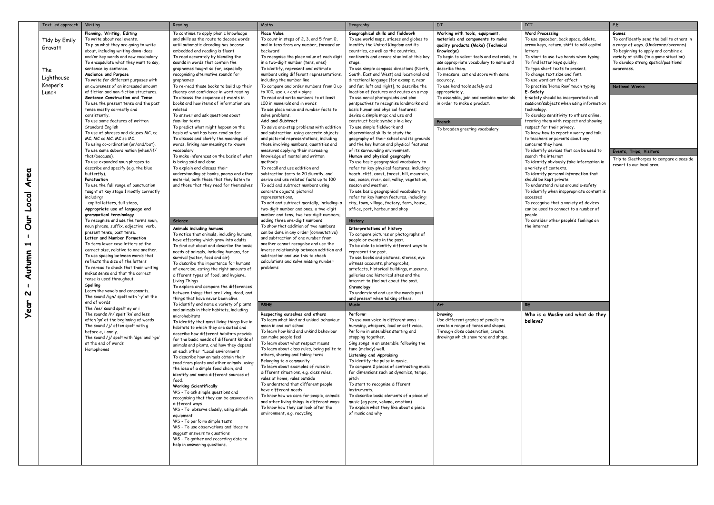|                                                                                        | Text-led approach                                                  | Writing                                                                                                                                                                                                                                                                                                                                                                                                                                                                                                                                                                                                                                                                                                                                                                                                                                                                                                                                                                                                                                                                                                                                                                                                                                                                                                                                                                                                                                                                                                                                                                                                                                                                                                                                                                                                                                               | Reading                                                                                                                                                                                                                                                                                                                                                                                                                                                                                                                                                                                                                                                                                                                                                                                                                                                                                                                                                                                                                                                                                                                                                                                                                                                                                                                                                                                                                                                                                                                                                                                                                                                                                                                                                                                                                                                                                                                                                                                                                                                                                                                                                          | Maths                                                                                                                                                                                                                                                                                                                                                                                                                                                                                                                                                                                                                                                                                                                                                                                                                                                                                                                                                                                                                                                                                                                                                                                                                                                                                                                                                                                                                                                                                                                                                                                                                                                                                                                                                                                                                                                                                                                                                                                                                                                                         | Geography                                                                                                                                                                                                                                                                                                                                                                                                                                                                                                                                                                                                                                                                                                                                                                                                                                                                                                                                                                                                                                                                                                                                                                                                                                                                                                                                                                                                                                                                                                                                                                                                                                                                                                                                                                                                                                                                                                                                                                                                                                                                                                                                                                                                                             | DT.                                                                                                                                                                                                                                                                                                                                                                                                                                                                                                                                                                                                                                     | <b>ICT</b>                                                                                                                                                                                                                                                                                                                                                                                                                                                                                                                                                                                                                                                                                                                                                                                                                                                                                                                                                                                                                                                                                                                                                                                                          | P.E                                                                                                                                                                                                                                                                                                                                                            |
|----------------------------------------------------------------------------------------|--------------------------------------------------------------------|-------------------------------------------------------------------------------------------------------------------------------------------------------------------------------------------------------------------------------------------------------------------------------------------------------------------------------------------------------------------------------------------------------------------------------------------------------------------------------------------------------------------------------------------------------------------------------------------------------------------------------------------------------------------------------------------------------------------------------------------------------------------------------------------------------------------------------------------------------------------------------------------------------------------------------------------------------------------------------------------------------------------------------------------------------------------------------------------------------------------------------------------------------------------------------------------------------------------------------------------------------------------------------------------------------------------------------------------------------------------------------------------------------------------------------------------------------------------------------------------------------------------------------------------------------------------------------------------------------------------------------------------------------------------------------------------------------------------------------------------------------------------------------------------------------------------------------------------------------|------------------------------------------------------------------------------------------------------------------------------------------------------------------------------------------------------------------------------------------------------------------------------------------------------------------------------------------------------------------------------------------------------------------------------------------------------------------------------------------------------------------------------------------------------------------------------------------------------------------------------------------------------------------------------------------------------------------------------------------------------------------------------------------------------------------------------------------------------------------------------------------------------------------------------------------------------------------------------------------------------------------------------------------------------------------------------------------------------------------------------------------------------------------------------------------------------------------------------------------------------------------------------------------------------------------------------------------------------------------------------------------------------------------------------------------------------------------------------------------------------------------------------------------------------------------------------------------------------------------------------------------------------------------------------------------------------------------------------------------------------------------------------------------------------------------------------------------------------------------------------------------------------------------------------------------------------------------------------------------------------------------------------------------------------------------------------------------------------------------------------------------------------------------|-------------------------------------------------------------------------------------------------------------------------------------------------------------------------------------------------------------------------------------------------------------------------------------------------------------------------------------------------------------------------------------------------------------------------------------------------------------------------------------------------------------------------------------------------------------------------------------------------------------------------------------------------------------------------------------------------------------------------------------------------------------------------------------------------------------------------------------------------------------------------------------------------------------------------------------------------------------------------------------------------------------------------------------------------------------------------------------------------------------------------------------------------------------------------------------------------------------------------------------------------------------------------------------------------------------------------------------------------------------------------------------------------------------------------------------------------------------------------------------------------------------------------------------------------------------------------------------------------------------------------------------------------------------------------------------------------------------------------------------------------------------------------------------------------------------------------------------------------------------------------------------------------------------------------------------------------------------------------------------------------------------------------------------------------------------------------------|---------------------------------------------------------------------------------------------------------------------------------------------------------------------------------------------------------------------------------------------------------------------------------------------------------------------------------------------------------------------------------------------------------------------------------------------------------------------------------------------------------------------------------------------------------------------------------------------------------------------------------------------------------------------------------------------------------------------------------------------------------------------------------------------------------------------------------------------------------------------------------------------------------------------------------------------------------------------------------------------------------------------------------------------------------------------------------------------------------------------------------------------------------------------------------------------------------------------------------------------------------------------------------------------------------------------------------------------------------------------------------------------------------------------------------------------------------------------------------------------------------------------------------------------------------------------------------------------------------------------------------------------------------------------------------------------------------------------------------------------------------------------------------------------------------------------------------------------------------------------------------------------------------------------------------------------------------------------------------------------------------------------------------------------------------------------------------------------------------------------------------------------------------------------------------------------------------------------------------------|-----------------------------------------------------------------------------------------------------------------------------------------------------------------------------------------------------------------------------------------------------------------------------------------------------------------------------------------------------------------------------------------------------------------------------------------------------------------------------------------------------------------------------------------------------------------------------------------------------------------------------------------|---------------------------------------------------------------------------------------------------------------------------------------------------------------------------------------------------------------------------------------------------------------------------------------------------------------------------------------------------------------------------------------------------------------------------------------------------------------------------------------------------------------------------------------------------------------------------------------------------------------------------------------------------------------------------------------------------------------------------------------------------------------------------------------------------------------------------------------------------------------------------------------------------------------------------------------------------------------------------------------------------------------------------------------------------------------------------------------------------------------------------------------------------------------------------------------------------------------------|----------------------------------------------------------------------------------------------------------------------------------------------------------------------------------------------------------------------------------------------------------------------------------------------------------------------------------------------------------------|
| σ<br><u>ق</u><br>⋖<br>ਰ<br><u>ل</u> ەما<br>š<br>Ō<br>H<br><b>utumn</b><br>⋖<br>ิญ<br>Ñ | Tidy by Emily<br>Gravatt<br>The<br>Lighthouse<br>Keeper's<br>Lunch | Planning, Writing, Editing<br>To write about real events.<br>To plan what they are going to write<br>about, including writing down ideas<br>and/or key words and new vocabulary<br>To encapsulate what they want to say,<br>sentence by sentence.<br>Audience and Purpose<br>To write for different purposes with<br>an awareness of an increased amount<br>of fiction and non-fiction structures.<br>Sentence Construction and Tense<br>To use the present tense and the past<br>tense mostly correctly and<br>consistently.<br>To use some features of written<br>Standard English<br>To use of phrases and clauses MC, cc<br>MC. MC cc MC. MC sc MC.<br>To using co-ordination (or/and/but).<br>To use some subordination (when/if/<br>that/because).<br>To use expanded noun phrases to<br>describe and specify (e.g. the blue<br>butterfly).<br>Punctuation<br>To use the full range of punctuation<br>taught at key stage 1 mostly correctly<br>including:<br>- capital letters, full stops,<br>Appropriate use of language and<br>grammatical terminology<br>To recognise and use the terms noun,<br>noun phrase, suffix, adjective, verb,<br>present tense, past tense.<br>Letter and Number Formation<br>To form lower case letters of the<br>correct size, relative to one another.<br>To use spacing between words that<br>reflects the size of the letters<br>To reread to check that their writing<br>makes sense and that the correct<br>tense is used throughout.<br>Spelling<br>Learn the vowels and consonants.<br>The sound /igh/ spelt with '-y' at the<br>end of words<br>The /ee/ sound spelt ey or i<br>The sounds /n/ spelt 'kn' and less<br>often 'gn' at the beginning of words<br>The sound /j/ often spelt with $g$<br>before e, i and y.<br>The sound /j/ spelt with 'dge' and '-ge'<br>at the end of words<br>Homophones | To continue to apply phonic knowledge<br>and skills as the route to decode words<br>until automatic decoding has become<br>embedded and reading is fluent<br>To read accurately by blending the<br>sounds in words that contain the<br>graphemes taught so far, especially<br>recognising alternative sounds for<br>graphemes<br>To re-read these books to build up their<br>fluency and confidence in word reading<br>To discuss the sequence of events in<br>books and how items of information are<br>related<br>To answer and ask questions about<br>familiar texts<br>To predict what might happen on the<br>basis of what has been read so far<br>To discuss and clarify the meanings of<br>words, linking new meanings to known<br>vocabulary<br>To make inferences on the basis of what<br>is being said and done<br>To explain and discuss their<br>understanding of books, poems and other<br>material, both those that they listen to<br>and those that they read for themselves<br><b>Science</b><br>Animals including humans<br>To notice that animals, including humans,<br>have offspring which grow into adults<br>To find out about and describe the basic<br>needs of animals, including humans, for<br>survival (water, food and air)<br>To describe the importance for humans<br>of exercise, eating the right amounts of<br>different types of food, and hygiene.<br>Living Things<br>To explore and compare the differences<br>between things that are living, dead, and<br>things that have never been alive<br>To identify and name a variety of plants<br>and animals in their habitats, including<br>microhabitats<br>To identify that most living things live in<br>habitats to which they are suited and<br>describe how different habitats provide<br>for the basic needs of different kinds of<br>animals and plants, and how they depend<br>on each other *Local environment<br>To describe how animals obtain their<br>food from plants and other animals, using<br>the idea of a simple food chain, and<br>identify and name different sources of<br>food.<br><b>Working Scientifically</b><br>WS - To ask simple questions and | Place Value<br>To count in steps of 2, 3, and 5 from 0,<br>and in tens from any number, forward or<br>backward<br>To recognise the place value of each digit<br>in a two-digit number (tens, ones)<br>To identify, represent and estimate<br>numbers using different representations,<br>including the number line<br>To compare and order numbers from 0 up<br>to 100; use $\left\langle \cdot \right\rangle$ and = signs<br>To read and write numbers to at least<br>100 in numerals and in words<br>To use place value and number facts to<br>solve problems.<br>Add and Subtract<br>To solve one-step problems with addition<br>and subtraction: using concrete objects<br>and pictorial representations, including<br>those involving numbers, quantities and<br>measures applying their increasing<br>knowledge of mental and written<br>methods<br>To recall and use addition and<br>subtraction facts to 20 fluently, and<br>derive and use related facts up to 100<br>To add and subtract numbers using<br>concrete objects, pictorial<br>representations.<br>To add and subtract mentally, including: a<br>two-digit number and ones; a two-digit<br>number and tens; two two-digit numbers;<br>adding three one-digit numbers<br>To show that addition of two numbers<br>can be done in any order (commutative)<br>and subtraction of one number from<br>another cannot recognise and use the<br>inverse relationship between addition and<br>subtraction and use this to check<br>calculations and solve missing number<br>problems<br><b>PSHE</b><br>Respecting ourselves and others<br>To learn what kind and unkind behaviour<br>mean in and out school<br>To learn how kind and unkind behaviour<br>can make people feel<br>To learn about what respect means<br>To learn about class rules, being polite to<br>others, sharing and taking turns<br>Belonging to a community<br>To learn about examples of rules in<br>different situations, e.g. class rules,<br>rules at home, rules outside<br>To understand that different people<br>have different needs | Geographical skills and fieldwork<br>To use world maps, atlases and globes to<br>identify the United Kingdom and its<br>countries, as well as the countries,<br>continents and oceans studied at this key<br>stage.<br>To use simple compass directions (North,<br>South, East and West) and locational and<br>directional language [for example, near<br>and far; left and right], to describe the<br>location of features and routes on a map<br>To use aerial photographs and plan<br>perspectives to recognise landmarks and<br>basic human and physical features;<br>devise a simple map; and use and<br>construct basic symbols in a key<br>To use simple fieldwork and<br>observational skills to study the<br>geography of their school and its grounds<br>and the key human and physical features<br>of its surrounding environment.<br>Human and physical geography<br>To use basic geographical vocabulary to<br>refer to: key physical features, including:<br>beach, cliff, coast, forest, hill, mountain,<br>sea, ocean, river, soil, valley, vegetation,<br>season and weather.<br>To use basic geographical vocabulary to<br>refer to: key human features, including:<br>city, town, village, factory, farm, house,<br>office, port, harbour and shop<br><b>History</b><br>Interpretations of history<br>To compare pictures or photographs of<br>people or events in the past.<br>To be able to identify different ways to<br>represent the past.<br>To use books and pictures, stories, eye<br>witness accounts, photographs,<br>artefacts, historical buildings, museums,<br>galleries and historical sites and the<br>internet to find out about the past.<br>Chronology<br>To understand and use the words past<br>and present when talking others.<br><b>Music</b><br>Perform:<br>To use own voice in different ways -<br>humming, whispers, loud or soft voice.<br>Perform in ensembles starting and<br>stopping together.<br>Sing songs in an ensemble following the<br>tune (melody) well.<br>Listening and Appraising<br>To identify the pulse in music.<br>To compare 2 pieces of contrasting music<br>for dimensions such as dynamics, tempo,<br>pitch<br>To start to recognise different<br>instruments. | Working with tools, equipment,<br>materials and components to make<br>quality products.(Make) (Technical<br>Knowledge)<br>To begin to select tools and materials; to<br>use appropriate vocabulary to name and<br>describe them.<br>To measure, cut and score with some<br>accuracy.<br>To use hand tools safely and<br>appropriately.<br>To assemble, join and combine materials<br>in order to make a product.<br>French<br>To broaden greeting vocabulary<br>Art<br>Drawing<br>Use different grades of pencils to<br>create a range of tones and shapes.<br>Through close observation, create<br>drawings which show tone and shape. | <b>Word Processing</b><br>To use spacebar, back space, delete,<br>arrow keys, return, shift to add capital<br>letters.<br>To start to use two hands when typing.<br>To find letter keys quickly.<br>To type short texts to present.<br>To change text size and font.<br>To use word art for effect<br>To practise 'Home Row' touch typing<br>E-Safety<br>E-safety should be incorporated in all<br>sessions/subjects when using information<br>technology.<br>To develop sensitivity to others online,<br>treating them with respect and showing<br>respect for their privacy.<br>To know how to report a worry and talk<br>to teachers or parents about any<br>concerns they have.<br>To identify devices that can be used to<br>search the internet<br>To identify obviously fake information in<br>a variety of contexts.<br>To identify personal information that<br>should be kept private<br>To understand rules around e-safety<br>To identify when inappropriate content is<br>accessed<br>To recognise that a variety of devices<br>can be used to connect to a number of<br>people<br>To consider other people's feelings on<br>the internet<br><b>RE</b><br>Who is a Muslim and what do they<br>believe? | Games<br>To confidently send the ball to others in<br>a range of ways. (Underarm/overarm)<br>To beginning to apply and combine a<br>variety of skills (to a game situation)<br>To develop strong spatial/positional<br>awareness.<br><b>National Weeks</b><br>Events, Trips, Visitors<br>Trip to Cleethorpes to compare a seaside<br>resort to our local area. |
|                                                                                        |                                                                    |                                                                                                                                                                                                                                                                                                                                                                                                                                                                                                                                                                                                                                                                                                                                                                                                                                                                                                                                                                                                                                                                                                                                                                                                                                                                                                                                                                                                                                                                                                                                                                                                                                                                                                                                                                                                                                                       | recognising that they can be answered in<br>different ways<br>WS - To observe closely, using simple<br>equipment<br>WS - To perform simple tests<br>WS - To use observations and ideas to<br>suggest answers to questions<br>WS - To gather and recording data to<br>help in answering questions.                                                                                                                                                                                                                                                                                                                                                                                                                                                                                                                                                                                                                                                                                                                                                                                                                                                                                                                                                                                                                                                                                                                                                                                                                                                                                                                                                                                                                                                                                                                                                                                                                                                                                                                                                                                                                                                                | To know how we care for people, animals<br>and other living things in different ways<br>To know how they can look after the<br>environment, e.g. recycling                                                                                                                                                                                                                                                                                                                                                                                                                                                                                                                                                                                                                                                                                                                                                                                                                                                                                                                                                                                                                                                                                                                                                                                                                                                                                                                                                                                                                                                                                                                                                                                                                                                                                                                                                                                                                                                                                                                    | To describe basic elements of a piece of<br>music (eq pace, volume, emotion)<br>To explain what they like about a piece<br>of music and why                                                                                                                                                                                                                                                                                                                                                                                                                                                                                                                                                                                                                                                                                                                                                                                                                                                                                                                                                                                                                                                                                                                                                                                                                                                                                                                                                                                                                                                                                                                                                                                                                                                                                                                                                                                                                                                                                                                                                                                                                                                                                           |                                                                                                                                                                                                                                                                                                                                                                                                                                                                                                                                                                                                                                         |                                                                                                                                                                                                                                                                                                                                                                                                                                                                                                                                                                                                                                                                                                                                                                                                                                                                                                                                                                                                                                                                                                                                                                                                                     |                                                                                                                                                                                                                                                                                                                                                                |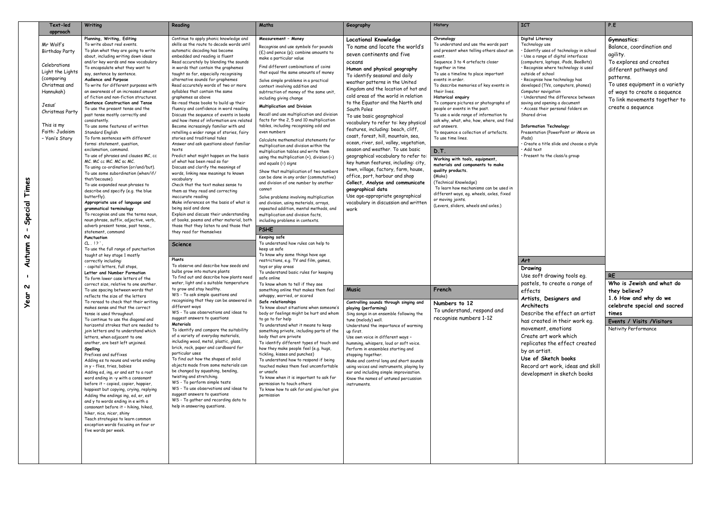| Text-led         | Writing                                                                       | Reading                                                                             | Maths                                                                 | Geography                                                         | History                                                                            | <b>ICT</b>                                                        | P.E                            |
|------------------|-------------------------------------------------------------------------------|-------------------------------------------------------------------------------------|-----------------------------------------------------------------------|-------------------------------------------------------------------|------------------------------------------------------------------------------------|-------------------------------------------------------------------|--------------------------------|
| approach         |                                                                               |                                                                                     |                                                                       |                                                                   |                                                                                    |                                                                   |                                |
|                  | Planning, Writing, Editing                                                    | Continue to apply phonic knowledge and                                              | Measurement - Money                                                   | <b>Locational Knowledge</b>                                       | Chronology                                                                         | Digital Literacy                                                  | <b>Gymnastics:</b>             |
| Mr Wolf's        | To write about real events.<br>To plan what they are going to write           | skills as the route to decode words until<br>automatic decoding has become          | Recognise and use symbols for pounds                                  | To name and locate the world's                                    | To understand and use the words past<br>and present when telling others about an   | Technology use<br>· Identify uses of technology in school         | Balance, coordination and      |
| Birthday Party   | about, including writing down ideas                                           | embedded and reading is fluent                                                      | $(E)$ and pence (p); combine amounts to                               | seven continents and five                                         | event.                                                                             | · Use a range of digital interfaces                               | agility.                       |
|                  | and/or key words and new vocabulary                                           | Read accurately by blending the sounds                                              | make a particular value                                               | oceans                                                            | Sequence 3 to 4 artefacts closer                                                   | (computers, laptops, iPads, BeeBots)                              | To explores and creates        |
| Celebrations     | To encapsulate what they want to                                              | in words that contain the graphemes                                                 | Find different combinations of coins                                  | Human and physical geography                                      | together in time                                                                   | · Recognise where technology is used                              | different pathways and         |
| Light the Lights | say, sentence by sentence.                                                    | taught so far, especially recognising                                               | that equal the same amounts of money                                  | To identify seasonal and daily                                    | To use a timeline to place important                                               | outside of school                                                 |                                |
| (comparing       | Audience and Purpose                                                          | alternative sounds for graphemes                                                    | Solve simple problems in a practical                                  | weather patterns in the United                                    | events in order.                                                                   | · Recognise how technology has                                    | patterns.                      |
| Christmas and    | To write for different purposes with                                          | Read accurately words of two or more                                                | context involving addition and                                        | Kingdom and the location of hot and                               | To describe memories of key events in                                              | developed (TVs, computers, phones)                                | To uses equipment in a variety |
| Hannukah)        | an awareness of an increased amount                                           | syllables that contain the same                                                     | subtraction of money of the same unit,                                | cold areas of the world in relation                               | their lives.                                                                       | Computer navigation                                               | of ways to create a sequence   |
|                  | of fiction and non-fiction structures.<br>Sentence Construction and Tense     | graphemes as above                                                                  | including giving change                                               | to the Equator and the North and                                  | <b>Historical enquiry</b>                                                          | · Understand the difference between                               | To link movements together to  |
| Jesus'           | To use the present tense and the                                              | Re-read these books to build up their<br>fluency and confidence in word reading     | <b>Multiplication and Division</b>                                    | South Poles                                                       | To compare pictures or photographs of<br>people or events in the past.             | saving and opening a document<br>Access their personal folders on | create a sequence              |
| Christmas Party  | past tense mostly correctly and                                               | Discuss the sequence of events in books                                             | Recall and use multiplication and division                            |                                                                   | To use a wide range of information to                                              | Shared drive                                                      |                                |
|                  | consistently.                                                                 | and how items of information are related                                            | facts for the 2, 5 and 10 multiplication                              | To use basic geographical<br>vocabulary to refer to: key physical | ask why, what, who, how, where, and find                                           |                                                                   |                                |
| This is my       | To use some features of written                                               | Become increasingly familiar with and                                               | tables, including recognising odd and                                 |                                                                   | out answers.                                                                       | <b>Information Technology:</b>                                    |                                |
| Faith: Judaism   | Standard English                                                              | retelling a wider range of stories, fairy                                           | even numbers                                                          | features, including: beach, cliff,                                | To sequence a collection of artefacts.                                             | Presentation (PowerPoint or iMovie on                             |                                |
| - Yoni's Story   | To form sentences with different                                              | stories and traditional tales                                                       | Calculate mathematical statements for                                 | coast, forest, hill, mountain, sea,                               | To use time lines.                                                                 | iPads)                                                            |                                |
|                  | forms: statement, question,                                                   | Answer and ask questions about familiar                                             | multiplication and division within the                                | ocean, river, soil, valley, vegetation,                           |                                                                                    | Create a title slide and choose a style                           |                                |
|                  | exclamation, command.                                                         | texts                                                                               | multiplication tables and write them                                  | season and weather. To use basic                                  | D.T.                                                                               | Add text                                                          |                                |
|                  | To use of phrases and clauses MC, cc<br>MC. MC cc MC. MC sc MC.               | Predict what might happen on the basis<br>of what has been read so far              | using the multiplication $(x)$ , division $(+)$                       | geographical vocabulary to refer to:                              | Working with tools, equipment,                                                     | · Present to the class/a group                                    |                                |
|                  | To using co-ordination (or/and/but).                                          | Discuss and clarify the meanings of                                                 | and equals $(=)$ signs                                                | key human features, including: city,                              | materials and components to make                                                   |                                                                   |                                |
|                  | To use some subordination (when/if/                                           | words, linking new meanings to known                                                | Show that multiplication of two numbers                               | town, village, factory, farm, house,                              | quality products.                                                                  |                                                                   |                                |
|                  | that/because).                                                                | vocabulary                                                                          | can be done in any order (commutative)                                | office, port, harbour and shop                                    | (Make)                                                                             |                                                                   |                                |
|                  | To use expanded noun phrases to                                               | Check that the text makes sense to                                                  | and division of one number by another                                 | Collect, Analyse and communicate                                  | (Technical Knowledge)                                                              |                                                                   |                                |
|                  | describe and specify (e.g. the blue                                           | them as they read and correcting                                                    | cannot                                                                | geographical data                                                 | To learn how mechanisms can be used in<br>different ways, eq. wheels, axles, fixed |                                                                   |                                |
|                  | butterfly).                                                                   | inaccurate reading                                                                  | Solve problems involving multiplication                               | Use age-appropriate geographical                                  | or moving joints.                                                                  |                                                                   |                                |
|                  | Appropriate use of language and                                               | Make inferences on the basis of what is                                             | and division, using materials, arrays,                                | vocabulary in discussion and writter                              | (Levers, sliders, wheels and axles.)                                               |                                                                   |                                |
|                  | grammatical terminology                                                       | being said and done                                                                 | repeated addition, mental methods, and                                | work                                                              |                                                                                    |                                                                   |                                |
|                  | To recognise and use the terms noun,<br>noun phrase, suffix, adjective, verb, | Explain and discuss their understanding<br>of books, poems and other material, both | multiplication and division facts,<br>including problems in contexts. |                                                                   |                                                                                    |                                                                   |                                |
|                  | adverb present tense, past tense.,                                            | those that they listen to and those that                                            |                                                                       |                                                                   |                                                                                    |                                                                   |                                |
|                  | statement, command                                                            | they read for themselves                                                            | <b>PSHE</b>                                                           |                                                                   |                                                                                    |                                                                   |                                |
|                  | Punctuation                                                                   |                                                                                     | Keeping safe                                                          |                                                                   |                                                                                    |                                                                   |                                |
|                  | CL. 12,                                                                       | Science                                                                             | To understand how rules can help to                                   |                                                                   |                                                                                    |                                                                   |                                |
|                  | To use the full range of punctuation                                          |                                                                                     | keep us safe                                                          |                                                                   |                                                                                    |                                                                   |                                |
|                  | taught at key stage 1 mostly                                                  | Plants                                                                              | To know why some things have age                                      |                                                                   |                                                                                    |                                                                   |                                |
|                  | correctly including:                                                          | To observe and describe how seeds and                                               | restrictions, e.g. TV and film, games,                                |                                                                   |                                                                                    | Art                                                               |                                |
|                  | - capital letters, full stops,<br>Letter and Number Formation                 | bulbs grow into mature plants                                                       | toys or play areas<br>To understand basic rules for keeping           |                                                                   |                                                                                    | Drawing                                                           |                                |
|                  | To form lower case letters of the                                             | To find out and describe how plants need                                            | safe online                                                           |                                                                   |                                                                                    | Use soft drawing tools eq.                                        | <b>RE</b>                      |
|                  | correct size, relative to one another.                                        | water, light and a suitable temperature                                             | To know whom to tell if they see                                      |                                                                   |                                                                                    | pastels, to create a range of                                     | Who is Jewish and what do      |
|                  | To use spacing between words that                                             | to grow and stay healthy.                                                           | something online that makes them feel                                 | <b>Music</b>                                                      | French                                                                             | effects                                                           | they believe?                  |
|                  | reflects the size of the letters                                              | WS - To ask simple questions and                                                    | unhappy, worried, or scared                                           |                                                                   |                                                                                    | Artists, Designers and                                            | 1.6 How and why do we          |
|                  | To reread to check that their writing                                         | recognising that they can be answered in                                            | Safe relationships                                                    | Controlling sounds through singing and                            | Numbers to 12                                                                      |                                                                   |                                |
|                  | makes sense and that the correct                                              | different ways<br>WS - To use observations and ideas to                             | To know about situations when someone's                               | playing (performing)                                              | To understand, respond and                                                         | Architects                                                        | celebrate special and sacred   |
|                  | tense is used throughout.                                                     | suggest answers to questions                                                        | body or feelings might be hurt and whom                               | Sing songs in an ensemble following the                           | recognise numbers 1-12                                                             | Describe the effect an artist                                     | times                          |
|                  | To continue to use the diagonal and<br>horizontal strokes that are needed to  | Materials                                                                           | to go to for help<br>To understand what it means to keep              | tune (melody) well.                                               |                                                                                    | has created in their work eq.                                     | Events / Visits /Visitors      |
|                  | join letters and to understand which                                          | To identify and compare the suitability                                             | something private, including parts of the                             | Understand the importance of warming                              |                                                                                    | movement, emotions                                                | Nativity Performance           |
|                  | letters, when adjacent to one                                                 | of a variety of everyday materials,                                                 | body that are private                                                 | up first.<br>Use own voice in different ways -                    |                                                                                    | Create art work which                                             |                                |
|                  | another, are best left unjoined.                                              | including wood, metal, plastic, glass,                                              | To identify different types of touch and                              | humming, whispers, loud or soft voice.                            |                                                                                    | replicates the effect created                                     |                                |
|                  | Spelling                                                                      | brick, rock, paper and cardboard for                                                | how they make people feel (e.g. hugs,                                 | Perform in ensembles starting and                                 |                                                                                    | by an artist.                                                     |                                |
|                  | Prefixes and suffixes                                                         | particular uses                                                                     | tickling, kisses and punches)                                         | stopping together.                                                |                                                                                    |                                                                   |                                |
|                  | Adding es to nouns and verbs ending                                           | To find out how the shapes of solid                                                 | To understand how to respond if being                                 | Make and control long and short sounds                            |                                                                                    | Use of Sketch books                                               |                                |
|                  | in y - flies, tries, babies                                                   | objects made from some materials can<br>be changed by squashing, bending,           | touched makes them feel uncomfortable                                 | using voices and instruments, playing by                          |                                                                                    | Record art work, ideas and skill                                  |                                |
|                  | Adding ed, ing, er and est to a root                                          | twisting and stretching.                                                            | or unsafe                                                             | ear and including simple improvisation.                           |                                                                                    | development in sketch books                                       |                                |
|                  | word ending in -y with a consonant<br>before it - copied, copier, happier,    | WS - To perform simple tests                                                        | To know when it is important to ask for<br>permission to touch others | Know the names of untuned percussion                              |                                                                                    |                                                                   |                                |
|                  | happiest but copying, crying, replying                                        | WS - To use observations and ideas to                                               | To know how to ask for and give/not give                              | instruments.                                                      |                                                                                    |                                                                   |                                |
|                  | Adding the endings ing, ed, er, est                                           | suggest answers to questions                                                        | permission                                                            |                                                                   |                                                                                    |                                                                   |                                |
|                  | and y to words ending in e with a                                             | WS - To gather and recording data to                                                |                                                                       |                                                                   |                                                                                    |                                                                   |                                |
|                  | consonant before it - hiking, hiked,                                          | help in answering questions.                                                        |                                                                       |                                                                   |                                                                                    |                                                                   |                                |
|                  | hiker, nice, nicer, shiny                                                     |                                                                                     |                                                                       |                                                                   |                                                                                    |                                                                   |                                |
|                  | Teach strategies to learn common                                              |                                                                                     |                                                                       |                                                                   |                                                                                    |                                                                   |                                |
|                  | exception words focusing on four or                                           |                                                                                     |                                                                       |                                                                   |                                                                                    |                                                                   |                                |
|                  | five words per week.                                                          |                                                                                     |                                                                       |                                                                   |                                                                                    |                                                                   |                                |
|                  |                                                                               |                                                                                     |                                                                       |                                                                   |                                                                                    |                                                                   |                                |
|                  |                                                                               |                                                                                     |                                                                       |                                                                   |                                                                                    |                                                                   |                                |
|                  |                                                                               |                                                                                     |                                                                       |                                                                   |                                                                                    |                                                                   |                                |
|                  |                                                                               |                                                                                     |                                                                       |                                                                   |                                                                                    |                                                                   |                                |
|                  |                                                                               |                                                                                     |                                                                       |                                                                   |                                                                                    |                                                                   |                                |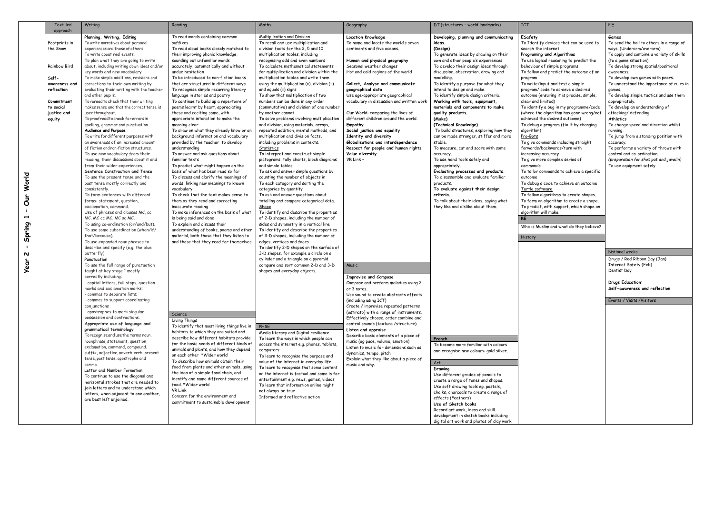| Text-led<br>approach                                                                                                                  | Writing                                                                                                                                                                                                                                                                                                                                                                                                                                                                                                                                                                                                                                                                                                                                                                                                                                                                                                                                                                                                                                                                                                                                                                                                                                 | Reading                                                                                                                                                                                                                                                                                                                                                                                                                                                                                                                                                                                                                                                                                                                                                                                                                                                                                                                                                                                                                                                                                                                                                 | Maths                                                                                                                                                                                                                                                                                                                                                                                                                                                                                                                                                                                                                                                                                                                                                                                                                                                                                                                                                                                                                                                                                                                                                                                                                                                                                                                                                                                                                                                                                                                                                                                                                                                                                                                                                                                                                                                                                                                                                                                                                                                            | Geography                                                                                                                                                                                                                                                                                                                                                                                                                                                                                                                                                                                                       | DT (structures - world landmarks)                                                                                                                                                                                                                                                                                                                                                                                                                                                                                                                                                                                                                                                                                                                                                                                                                                                                                      | <b>ICT</b>                                                                                                                                                                                                                                                                                                                                                                                                                                                                                                                                                                                                                                                                                                                                                                                                                                                                                                                                                                                                        | P.E                                                                                                                                                                                                                                                                                                                                                                                                                                                                                                                                                                                                                                                                                               |
|---------------------------------------------------------------------------------------------------------------------------------------|-----------------------------------------------------------------------------------------------------------------------------------------------------------------------------------------------------------------------------------------------------------------------------------------------------------------------------------------------------------------------------------------------------------------------------------------------------------------------------------------------------------------------------------------------------------------------------------------------------------------------------------------------------------------------------------------------------------------------------------------------------------------------------------------------------------------------------------------------------------------------------------------------------------------------------------------------------------------------------------------------------------------------------------------------------------------------------------------------------------------------------------------------------------------------------------------------------------------------------------------|---------------------------------------------------------------------------------------------------------------------------------------------------------------------------------------------------------------------------------------------------------------------------------------------------------------------------------------------------------------------------------------------------------------------------------------------------------------------------------------------------------------------------------------------------------------------------------------------------------------------------------------------------------------------------------------------------------------------------------------------------------------------------------------------------------------------------------------------------------------------------------------------------------------------------------------------------------------------------------------------------------------------------------------------------------------------------------------------------------------------------------------------------------|------------------------------------------------------------------------------------------------------------------------------------------------------------------------------------------------------------------------------------------------------------------------------------------------------------------------------------------------------------------------------------------------------------------------------------------------------------------------------------------------------------------------------------------------------------------------------------------------------------------------------------------------------------------------------------------------------------------------------------------------------------------------------------------------------------------------------------------------------------------------------------------------------------------------------------------------------------------------------------------------------------------------------------------------------------------------------------------------------------------------------------------------------------------------------------------------------------------------------------------------------------------------------------------------------------------------------------------------------------------------------------------------------------------------------------------------------------------------------------------------------------------------------------------------------------------------------------------------------------------------------------------------------------------------------------------------------------------------------------------------------------------------------------------------------------------------------------------------------------------------------------------------------------------------------------------------------------------------------------------------------------------------------------------------------------------|-----------------------------------------------------------------------------------------------------------------------------------------------------------------------------------------------------------------------------------------------------------------------------------------------------------------------------------------------------------------------------------------------------------------------------------------------------------------------------------------------------------------------------------------------------------------------------------------------------------------|------------------------------------------------------------------------------------------------------------------------------------------------------------------------------------------------------------------------------------------------------------------------------------------------------------------------------------------------------------------------------------------------------------------------------------------------------------------------------------------------------------------------------------------------------------------------------------------------------------------------------------------------------------------------------------------------------------------------------------------------------------------------------------------------------------------------------------------------------------------------------------------------------------------------|-------------------------------------------------------------------------------------------------------------------------------------------------------------------------------------------------------------------------------------------------------------------------------------------------------------------------------------------------------------------------------------------------------------------------------------------------------------------------------------------------------------------------------------------------------------------------------------------------------------------------------------------------------------------------------------------------------------------------------------------------------------------------------------------------------------------------------------------------------------------------------------------------------------------------------------------------------------------------------------------------------------------|---------------------------------------------------------------------------------------------------------------------------------------------------------------------------------------------------------------------------------------------------------------------------------------------------------------------------------------------------------------------------------------------------------------------------------------------------------------------------------------------------------------------------------------------------------------------------------------------------------------------------------------------------------------------------------------------------|
| Footprints in<br>the Snow<br>Rainbow Bird<br>Self-<br>awareness and<br>reflection<br>Commitment<br>to social<br>justice and<br>equity | Planning, Writing, Editing<br>To write narratives about personal<br>experiences and those of others<br>To write about real events.<br>To plan what they are going to write<br>about, including writing down ideas and/or<br>key words and new vocabulary<br>To make simple additions, revisions and<br>corrections to their own writing by<br>evaluating their writing with the teacher<br>and other pupils.<br>To reread to check that their writing<br>makes sense and that the correct tense is<br>used throughout.<br>Toproofread to check for errors in<br>spelling, grammar and punctuation<br>Audience and Purpose<br>Towrite for different purposes with<br>an awareness of an increased amount<br>of fiction and non-fiction structures.<br>To use new vocabulary from their<br>reading, their discussions about it and<br>from their wider experiences.<br>Sentence Construction and Tense<br>To use the present tense and the<br>past tense mostly correctly and<br>consistently.<br>To form sentences with different<br>forms: statement, question,<br>exclamation, command.<br>Use of phrases and clauses MC, cc<br>MC. MC cc MC. MC sc MC.<br>To using co-ordination (or/and/but).<br>To use some subordination (when/if/ | To read words containing common<br>suffixes<br>To read aloud books closely matched to<br>their improving phonic knowledge,<br>sounding out unfamiliar words<br>accurately, automatically and without<br>undue hesitation<br>To be introduced to non-fiction books<br>that are structured in different ways<br>To recognise simple recurring literary<br>language in stories and poetry<br>To continue to build up a repertoire of<br>poems learnt by heart, appreciating<br>these and reciting some, with<br>appropriate intonation to make the<br>meaning clear<br>To draw on what they already know or on<br>background information and vocabulary<br>provided by the teacher to develop<br>understanding<br>To answer and ask questions about<br>familiar texts<br>To predict what might happen on the<br>basis of what has been read so far<br>To discuss and clarify the meanings of<br>words, linking new meanings to known<br>vocabulary<br>To check that the text makes sense to<br>them as they read and correcting<br>inaccurate reading<br>To make inferences on the basis of what<br>is being said and done<br>To explain and discuss their | Multiplication and Division<br>To recall and use multiplication and<br>division facts for the 2, 5 and 10<br>multiplication tables, including<br>recognising odd and even numbers<br>To calculate mathematical statements<br>for multiplication and division within the<br>multiplication tables and write them<br>using the multiplication $(x)$ , division $\left(\frac{1}{x}\right)$<br>and equals $(=)$ signs<br>To show that multiplication of two<br>numbers can be done in any order<br>(commutative) and division of one number<br>by another cannot<br>To solve problems involving multiplication<br>and division, using materials, arrays,<br>repeated addition, mental methods, and<br>multiplication and division facts,<br>including problems in contexts.<br>Statistics<br>To interpret and construct simple<br>pictograms, tally charts, block diagrams<br>and simple tables<br>To ask and answer simple questions by<br>counting the number of objects in<br>To each category and sorting the<br>categories by quantity<br>To ask and answer questions about<br>totalling and compare categorical data.<br>Shape<br>To identify and describe the properties<br>of 2-D shapes, including the number of<br>sides and symmetry in a vertical line<br>To identify and describe the properties<br>of 3-D shapes, including the number of<br>edges, vertices and faces<br>To identify 2-D shapes on the surface of<br>3-D shapes, for example a circle on a<br>cylinder and a triangle on a pyramid<br>compare and sort common 2-D and 3-D<br>shapes and everyday objects.<br>PHSE<br>Media literacy and Digital resilience<br>To learn the ways in which people can<br>access the internet e.g. phones, tablets,<br>computers<br>To learn to recognise the purpose and<br>value of the internet in everyday life<br>To learn to recognise that some content<br>on the internet is factual and some is for<br>entertainment e.g. news, games, videos<br>To learn that information online might<br>not always be true<br>Informed and reflective action | <b>Location Knowledge</b><br>To name and locate the world's seven<br>continents and five oceans.<br>Human and physical geography<br>Seasonal weather changes<br>Hot and cold regions of the world<br>Collect, Analyse and communicate<br>geographical data<br>Use age-appropriate geographical<br>vocabulary in discussion and written wor<br>Our World: comparing the lives of<br>different children around the world.<br><b>Empathy</b><br>Social justice and equality<br>Identity and diversity<br>Globalisations and interdependence<br>Respect for people and human rights<br>Value diversity<br>VR Link - | Developing, planning and communicating<br>ideas.<br>(Design)<br>To generate ideas by drawing on their<br>own and other people's experiences.<br>To develop their design ideas through<br>discussion, observation, drawing and<br>modelling.<br>To identify a purpose for what they<br>intend to design and make.<br>To identify simple design criteria.<br>Working with tools, equipment,<br>materials and components to make<br>quality products.<br>(Make)<br>(Technical Knowledge)<br>To build structures, exploring how they<br>can be made stronger, stiffer and more<br>stable.<br>To measure, cut and score with some<br>accuracy.<br>To use hand tools safely and<br>appropriately.<br>Evaluating processes and products.<br>To disassemble and evaluate familiar<br>products.<br>To evaluate against their design<br>criteria.<br>To talk about their ideas, saying what<br>they like and dislike about them. | ESafety<br>To Identify devices that can be used to<br>search the internet<br>Programing and Algorithms<br>To use logical reasoning to predict the<br>behaviour of simple programs<br>To follow and predict the outcome of an<br>program<br>To write/input and test a simple<br>program/code to achieve a desired<br>outcome (ensuring it is precise, simple,<br>clear and limited)<br>To identify a bug in my programme/code<br>(where the algorithm has gone wrong/not<br>achieved the desired outcome)<br>To debug a program (fix it by changing<br>algorithm)<br>Pro-Bots<br>To give commands including straight<br>forwards/backwards/turn with<br>increasing accuracy<br>To give more complex series of<br>commands<br>To tailor commands to achieve a specific<br>outcome<br>To debug a code to achieve an outcome<br>Turtle software<br>To follow algorithms to create shapes.<br>To form an algorithm to create a shape.<br>To predict, with support, which shape an<br>algorithm will make.<br><b>RE</b> | <b>Games</b><br>To send the ball to others in a range of<br>ways. (Underarm/overarm)<br>To apply and combine a variety of skills<br>(to a game situation)<br>To develop strong spatial/positional<br>awareness.<br>To develop own games with peers.<br>To understand the importance of rules in<br>games.<br>To develop simple tactics and use them<br>appropriately.<br>To develop an understanding of<br>attacking/ defending<br>Athletics<br>To change speed and direction whilst<br>running.<br>To jump from a standing position with<br>accuracy.<br>To performs a variety of throws with<br>control and co-ordination.<br>(preparation for shot put and javelin)<br>To use equipment safely |
|                                                                                                                                       | that/because).<br>To use expanded noun phrases to<br>describe and specify (e.g. the blue<br>butterfly).<br>Punctuation<br>To use the full range of punctuation<br>taught at key stage 1 mostly<br>correctly including:<br>- capital letters, full stops, question<br>marks and exclamation marks;<br>- commas to separate lists;<br>- commas to support coordinating<br>conjunctions<br>- apostrophes to mark singular<br>possession and contractions.<br>Appropriate use of language and<br>grammatical terminology<br>Torecognise and use the terms noun,<br>nounphrase, statement, question,<br>exclamation, command, compound,<br>suffix, adjective, adverb, verb, present<br>tense, past tense, apostrophe and<br>comma.<br>Letter and Number Formation<br>To continue to use the diagonal and<br>horizontal strokes that are needed to<br>join letters and to understand which<br>letters, when adjacent to one another,<br>are best left unjoined.                                                                                                                                                                                                                                                                               | understanding of books, poems and other<br>material, both those that they listen to<br>and those that they read for themselves<br>Science<br>Living Things<br>To identify that most living things live in<br>habitats to which they are suited and<br>describe how different habitats provide<br>for the basic needs of different kinds of<br>animals and plants, and how they depend<br>on each other *Wider world<br>To describe how animals obtain their<br>food from plants and other animals, using<br>the idea of a simple food chain, and<br>identify and name different sources of<br>food. *Wider world<br><b>VR Link</b><br>Concern for the environment and<br>commitment to sustainable development                                                                                                                                                                                                                                                                                                                                                                                                                                          |                                                                                                                                                                                                                                                                                                                                                                                                                                                                                                                                                                                                                                                                                                                                                                                                                                                                                                                                                                                                                                                                                                                                                                                                                                                                                                                                                                                                                                                                                                                                                                                                                                                                                                                                                                                                                                                                                                                                                                                                                                                                  | Music<br><b>Improvise and Compose</b><br>Compose and perform melodies using 2<br>or 3 notes.<br>Use sound to create abstracts effects<br>(including using ICT)<br>Create / improvise repeated patterns<br>(ostinato) with a range of instruments.<br>Effectively choose, order combine and<br>control sounds (texture / structure).<br>Listen and appraise<br>Describe basic elements of a piece of<br>music (eg pace, volume, emotion)<br>Listen to music for dimensions such as<br>dynamics, tempo, pitch<br>Explain what they like about a piece of<br>music and why.                                        | French<br>To become more familiar with colours<br>and recognise new colours: gold silver.<br>Art<br>Drawing<br>Use different grades of pencils to<br>create a range of tones and shapes.<br>Use soft drawing tools eg. pastels,<br>chalks, charcoals to create a range of<br>effects (Feathers)<br>Use of Sketch books<br>Record art work, ideas and skill<br>development in sketch books including<br>digital art work and photos of clay work.                                                                                                                                                                                                                                                                                                                                                                                                                                                                       | History                                                                                                                                                                                                                                                                                                                                                                                                                                                                                                                                                                                                                                                                                                                                                                                                                                                                                                                                                                                                           | National weeks<br>Drugs / Red Ribbon Day (Jan)<br>Internet Safety (Feb)<br>Dentist Day<br><b>Drugs Education:</b><br>Self-awareness and reflection<br>Events / Visits / Visitors                                                                                                                                                                                                                                                                                                                                                                                                                                                                                                                  |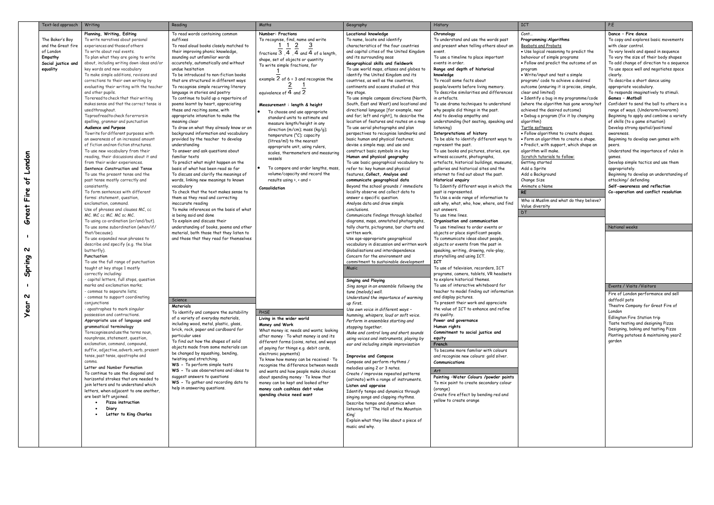|                    | Text-led approach                     | Writing                                                                        | Reading                                                                      | Maths                                                                             | Geography                                                                          | History                                                                           | <b>ICT</b>                                                      | P.E                                                                                |
|--------------------|---------------------------------------|--------------------------------------------------------------------------------|------------------------------------------------------------------------------|-----------------------------------------------------------------------------------|------------------------------------------------------------------------------------|-----------------------------------------------------------------------------------|-----------------------------------------------------------------|------------------------------------------------------------------------------------|
|                    |                                       | Planning, Writing, Editing                                                     | To read words containing common<br>suffixes                                  | Number: Fractions<br>To recognise, find, name and write                           | Locational knowledge<br>To name, locate and identify                               | Chronology<br>To understand and use the words past                                | $Cont_{}$                                                       | Dance - Fire dance<br>To copy and explores basic movements                         |
|                    | The Baker's Boy<br>and the Great fire | To write narratives about personal<br>experiences and those of others          | To read aloud books closely matched to                                       | 2<br>1 1                                                                          | characteristics of the four countries                                              | and present when telling others about an                                          | Programming: Algorithms<br>Beebots and Probots                  | with clear control.                                                                |
|                    | of London                             | To write about real events.                                                    | their improving phonic knowledge,                                            | fractions 3, 4, 4 and 4 of a length,                                              | and capital cities of the United Kingdom                                           | event.                                                                            | . Use logical reasoning to predict the                          | To vary levels and speed in sequence                                               |
|                    | Empathy                               | To plan what they are going to write                                           | sounding out unfamiliar words                                                | shape, set of objects or quantity                                                 | and its surrounding seas                                                           | To use a timeline to place important                                              | behaviour of simple programs                                    | To vary the size of their body shapes                                              |
|                    | Social justice and<br>equality        | about, including writing down ideas and/or<br>key words and new vocabulary     | accurately, automatically and without<br>undue hesitation                    | To write simple fractions, for                                                    | Geographical skills and fieldwork<br>To use world maps, atlases and globes to      | events in order.<br>Range and depth of historical                                 | • Follow and predict the outcome of an                          | To add change of direction to a sequence<br>To use space well and negotiates space |
|                    |                                       | To make simple additions, revisions and                                        | To be introduced to non-fiction books                                        |                                                                                   | identify the United Kingdom and its                                                | knowledge                                                                         | program<br>• Write/input and test a simple                      | clearly.                                                                           |
|                    |                                       | corrections to their own writing by                                            | that are structured in different ways                                        | example $2$ of 6 = 3 and recognise the                                            | countries, as well as the countries.                                               | To recall some facts about                                                        | program/code to achieve a desired                               | To describe a short dance using                                                    |
|                    |                                       | evaluating their writing with the teacher                                      | To recognise simple recurring literary                                       |                                                                                   | continents and oceans studied at this                                              | people/events before living memory.                                               | outcome (ensuring it is precise, simple,                        | appropriate vocabulary.                                                            |
|                    |                                       | and other pupils.<br>To reread to check that their writing                     | language in stories and poetry<br>To continue to build up a repertoire of    | equivalence of $4$ and $2$                                                        | key stage.<br>To use simple compass directions (North                              | To describe similarities and differences<br>in artefacts.                         | clear and limited)<br>· Identify a bug in my programme/code     | To responds imaginatively to stimuli.<br><b>Games - Matball</b>                    |
|                    |                                       | makes sense and that the correct tense is                                      | poems learnt by heart, appreciating                                          | Measurement : length & height                                                     | South, East and West) and locational and                                           | To use drama techniques to understand                                             | (where the algorithm has gone wrong/not                         | Confident to send the ball to others in a                                          |
|                    |                                       | used throughout.                                                               | these and reciting some, with                                                | To choose and use appropriate                                                     | directional language [for example, near                                            | why people did things in the past.                                                | achieved the desired outcome)                                   | range of ways. (Underarm/overarm)                                                  |
|                    |                                       | Toproofread to check for errors in                                             | appropriate intonation to make the                                           | standard units to estimate and                                                    | and far; left and right], to describe the                                          | And to develop empathy and                                                        | . Debug a program (fix it by changing                           | Beginning to apply and combine a variety                                           |
|                    |                                       | spelling, grammar and punctuation<br>Audience and Purpose                      | meaning clear<br>To draw on what they already know or on                     | measure length/height in any                                                      | location of features and routes on a map<br>To use aerial photographs and plan     | understanding (hot seating, speaking and<br>listening)                            | algorithm)<br>Turtle software                                   | of skills (to a game situation)<br>Develop strong spatial/positional               |
|                    |                                       | Towrite for different purposes with                                            | background information and vocabulary                                        | direction ( $m/cm$ ); mass ( $kg/q$ );<br>temperature $(^{\circ}C)$ ; capacity    | perspectives to recognise landmarks and                                            | Interpretations of history                                                        | . Follow algorithms to create shapes.                           | awareness.                                                                         |
|                    |                                       | an awareness of an increased amount                                            | provided by the teacher to develop                                           | (litres/ml) to the nearest                                                        | basic human and physical features;                                                 | To be able to identify different ways to                                          | . Form an algorithm to create a shape.                          | Beginning to develop own games with                                                |
|                    |                                       | of fiction and non-fiction structures.<br>To use new vocabulary from their     | understanding<br>To answer and ask questions about                           | appropriate unit, using rulers,                                                   | devise a simple map; and use and<br>construct basic symbols in a key               | represent the past.<br>To use books and pictures, stories, eye                    | • Predict, with support, which shape an<br>algorithm will make. | peers.<br>Understand the importance of rules in                                    |
|                    |                                       | reading, their discussions about it and                                        | familiar texts                                                               | scales, thermometers and measuring<br>vessels                                     | Human and physical geography                                                       | witness accounts, photographs,                                                    | Scratch tutorials to follow:                                    | games.                                                                             |
|                    |                                       | from their wider experiences.                                                  | To predict what might happen on the                                          |                                                                                   | To use basic geographical vocabulary to                                            | artefacts, historical buildings, museums,                                         | Getting started                                                 | Develop simple tactics and use them                                                |
| London             |                                       | Sentence Construction and Tense                                                | basis of what has been read so far<br>To discuss and clarify the meanings of | To compare and order lengths, mass<br>volume/capacity and record the              | refer to: key human and physical                                                   | galleries and historical sites and the<br>internet to find out about the past.    | Add a Sprite                                                    | appropriately.                                                                     |
| $\frac{1}{\sigma}$ |                                       | To use the present tense and the<br>past tense mostly correctly and            | words, linking new meanings to known                                         | results using $\lambda$ , $\lambda$ and =                                         | features, Collect, Analyse and<br>communicate geographical data                    | Historical enguiry                                                                | Add a Background<br>Change Size                                 | Beginning to develop an understanding of<br>attacking/defending                    |
|                    |                                       | consistently.                                                                  | vocabulary                                                                   | Consolidation                                                                     | Beyond the school grounds / immediate                                              | To Identify different ways in which the                                           | Animate a Name                                                  | Self-awareness and reflection                                                      |
| Fire               |                                       | To form sentences with different                                               | To check that the text makes sense to                                        |                                                                                   | locality observe and collect data to                                               | past is represented.                                                              | <b>RE</b>                                                       | Co-operation and conflict resolution                                               |
|                    |                                       | forms: statement, question,<br>exclamation, command.                           | them as they read and correcting<br>inaccurate reading                       |                                                                                   | answer a specific question.<br>Analyse data and draw simple                        | To Use a wide range of information to<br>ask why, what, who, how, where, and find | Who is Muslim and what do they believe?                         |                                                                                    |
|                    |                                       | Use of phrases and clauses MC, cc                                              | To make inferences on the basis of what                                      |                                                                                   | conclusions.                                                                       | out answers.                                                                      | Value diversity<br><b>DT</b>                                    |                                                                                    |
| Great              |                                       | MC. MC cc MC. MC sc MC.                                                        | is being said and done                                                       |                                                                                   | Communicate findings through labelled                                              | To use time lines.                                                                |                                                                 |                                                                                    |
|                    |                                       | To using co-ordination (or/and/but).<br>To use some subordination (when/if/    | To explain and discuss their<br>understanding of books, poems and other      |                                                                                   | diagrams, maps, annotated photographs,<br>tally charts, pictograms, bar charts and | Organisation and communication<br>To use timelines to order events or             |                                                                 | National weeks                                                                     |
|                    |                                       | that/because).                                                                 | material, both those that they listen to                                     |                                                                                   | written work.                                                                      | objects or place significant people.                                              |                                                                 |                                                                                    |
| - 1                |                                       | To use expanded noun phrases to                                                | and those that they read for themselves                                      |                                                                                   | Use age-appropriate geographical                                                   | To communicate ideas about people,                                                |                                                                 |                                                                                    |
| N                  |                                       | describe and specify (e.g. the blue<br>butterfly).                             |                                                                              |                                                                                   | vocabulary in discussion and written work<br>Globalisations and interdependence    | objects or events from the past in<br>speaking, writing, drawing, role-play,      |                                                                 |                                                                                    |
|                    |                                       | Punctuation                                                                    |                                                                              |                                                                                   | Concern for the environment and                                                    | storytelling and using ICT.                                                       |                                                                 |                                                                                    |
| Spring             |                                       | To use the full range of punctuation                                           |                                                                              |                                                                                   | commitment to sustainable development                                              | <b>ICT</b>                                                                        |                                                                 |                                                                                    |
|                    |                                       | taught at key stage 1 mostly<br>correctly including:                           |                                                                              |                                                                                   | <b>Music</b>                                                                       | To use of television, recorders, ICT<br>programs, camera, tablets, VR headsets    |                                                                 |                                                                                    |
|                    |                                       | - capital letters, full stops, question                                        |                                                                              |                                                                                   | Singing and Playing                                                                | to explore historical themes.                                                     |                                                                 |                                                                                    |
|                    |                                       | marks and exclamation marks;                                                   |                                                                              |                                                                                   | Sing songs in an ensemble following the                                            | To use of interactive whiteboard for                                              |                                                                 | Events / Visits / Visitors                                                         |
| N                  |                                       | commas to separate lists;<br>commas to support coordinating                    |                                                                              |                                                                                   | tune (melody) well.<br>Understand the importance of warming                        | teacher to model finding out information<br>and display pictures.                 |                                                                 | Fire of London performance and sell                                                |
|                    |                                       | conjunctions                                                                   | Science                                                                      |                                                                                   | up first.                                                                          | To present their work and appreciate                                              |                                                                 | daffodil pots<br>Theatre Company for Great Fire of                                 |
| <b>Year</b>        |                                       | - apostrophes to mark singular                                                 | Materials<br>To identify and compare the suitability                         | <b>PHSE</b>                                                                       | Use own voice in different ways -                                                  | the value of ICT to enhance and refine                                            |                                                                 | London                                                                             |
|                    |                                       | possession and contractions.<br>Appropriate use of language and                | of a variety of everyday materials,                                          | Living in the wider world                                                         | humming, whispers, loud or soft voice.<br>Perform in ensembles starting and        | its quality.<br>Power and governance                                              |                                                                 | Edlington Fire Station trip                                                        |
|                    |                                       | grammatical terminology                                                        | including wood, metal, plastic, glass,                                       | Money and Work                                                                    | stopping together.                                                                 | Human rights                                                                      |                                                                 | Taste testing and designing Pizza<br>Designing, baking and tasting Pizza           |
|                    |                                       | Torecognise and use the terms noun,                                            | brick, rock, paper and cardboard for<br>particular uses                      | What money is; needs and wants; looking<br>after money · To what money is and its | Make and control long and short sounds                                             | Commitment to social justice and                                                  |                                                                 | Planting potatoes & maintaining year2                                              |
|                    |                                       | nounphrase, statement, question,<br>exclamation, command, compound,            | To find out how the shapes of solid                                          | different forms (coins, notes, and ways                                           | using voices and instruments, playing by<br>ear and including simple improvisation | equity<br>French                                                                  |                                                                 | garden                                                                             |
|                    |                                       | suffix, adjective, adverb, verb, present                                       | objects made from some materials can                                         | of paying for things e.g. debit cards,                                            |                                                                                    | To become more familiar with colours                                              |                                                                 |                                                                                    |
|                    |                                       | tense, past tense, apostrophe and                                              | be changed by squashing, bending,<br>twisting and stretching.                | electronic payments)<br>To know how money can be received · To                    | <b>Improvise and Compose</b>                                                       | and recognise new colours: gold silver.                                           |                                                                 |                                                                                    |
|                    |                                       | comma.<br>Letter and Number Formation                                          | WS - To perform simple tests                                                 | recognise the difference between needs                                            | Compose and perform rhythms /                                                      | <b>Communications</b>                                                             |                                                                 |                                                                                    |
|                    |                                       | To continue to use the diagonal and                                            | WS - To use observations and ideas to                                        | and wants and how people make choices                                             | melodies using 2 or 3 notes.<br>Create / improvise repeated patterns               | Art                                                                               |                                                                 |                                                                                    |
|                    |                                       | horizontal strokes that are needed to                                          | suggest answers to questions<br>WS - To gather and recording data to         | about spending money · To know that<br>money can be kept and looked after         | (ostinato) with a range of instruments.                                            | Painting -Water Colours /powder paints<br>To mix paint to create secondary colour |                                                                 |                                                                                    |
|                    |                                       | join letters and to understand which<br>letters, when adjacent to one another, | help in answering questions.                                                 | money cash cashless debt value                                                    | Listen and appraise                                                                | (orange)                                                                          |                                                                 |                                                                                    |
|                    |                                       | are best left unjoined.                                                        |                                                                              | spending choice need want                                                         | Identify tempo and dynamics through<br>singing songs and clapping rhythms.         | Create fire effect by bending red and                                             |                                                                 |                                                                                    |
|                    |                                       | Pizza instruction                                                              |                                                                              |                                                                                   | Describe tempo and dynamics when                                                   | yellow to create orange                                                           |                                                                 |                                                                                    |
|                    |                                       | Diary<br>Letter to King Charles                                                |                                                                              |                                                                                   | listening tof 'The Hall of the Mountain                                            |                                                                                   |                                                                 |                                                                                    |
|                    |                                       |                                                                                |                                                                              |                                                                                   | Kina'<br>Explain what they like about a piece of                                   |                                                                                   |                                                                 |                                                                                    |
|                    |                                       |                                                                                |                                                                              |                                                                                   | music and why.                                                                     |                                                                                   |                                                                 |                                                                                    |
|                    |                                       |                                                                                |                                                                              |                                                                                   |                                                                                    |                                                                                   |                                                                 |                                                                                    |
|                    |                                       |                                                                                |                                                                              |                                                                                   |                                                                                    |                                                                                   |                                                                 |                                                                                    |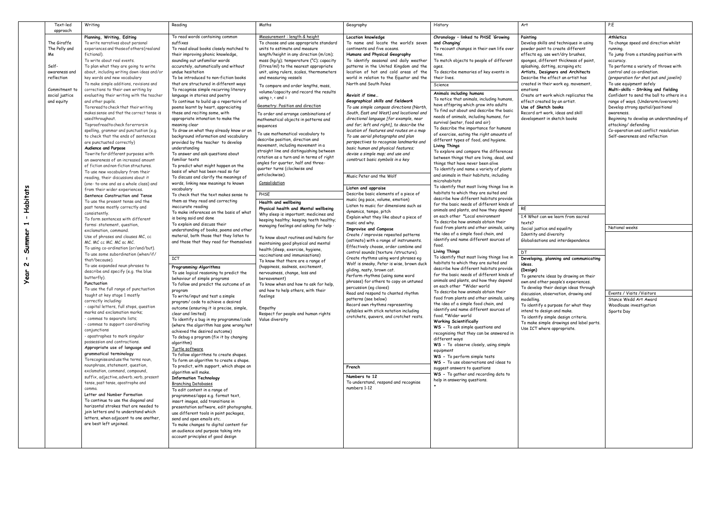| Text-led<br>approach | Writing                                                                          | Reading                                  | Maths                                           | Geography                                 | History                                                                       | Art                                      | P.E       |
|----------------------|----------------------------------------------------------------------------------|------------------------------------------|-------------------------------------------------|-------------------------------------------|-------------------------------------------------------------------------------|------------------------------------------|-----------|
|                      | Planning, Writing, Editing                                                       | To read words containing common          | Measurement : length & height                   | Location knowledge                        | Chronology - linked to PHSE 'Growing                                          | Painting                                 | At        |
| The Giraffe          | To write narratives about personal                                               | suffixes                                 | To choose and use appropriate standard          | To name and locate the world's seven      | and Changing'                                                                 | Develop skills and techniques in using   | To        |
| The Pelly and        | experiences and those of others (real and                                        | To read aloud books closely matched to   | units to estimate and measure                   | continents and five oceans.               | To recount changes in their own life over                                     | powder paint to create different         | ru        |
| Me                   | fictional).                                                                      | their improving phonic knowledge,        | length/height in any direction (m/cm);          | Humans and Physical Geography             | time.                                                                         | effects eq. use wet/dry brushes.         | To        |
|                      | To write about real events.                                                      | sounding out unfamiliar words            | mass ( $kg/q$ ); temperature ( $°C$ ); capacity | To identify seasonal and daily weather    | To match objects to people of different                                       | sponges, different thickness of paint,   | ac        |
| Self-                | To plan what they are going to write                                             | accurately, automatically and without    | (litres/ml) to the nearest appropriate          | patterns in the United Kingdom and the    | ages.                                                                         | splashing, dotting, scraping etc         | To        |
| awareness and        | about, including writing down ideas and/or                                       | undue hesitation                         | unit, using rulers, scales, thermometers        | location of hot and cold areas of the     | To describe memories of key events in                                         | Artists, Designers and Architects        | COI       |
| reflection           | key words and new vocabulary                                                     | To be introduced to non-fiction books    | and measuring vessels                           | world in relation to the Equator and the  | their lives.                                                                  | Describe the effect an artist has        | (pr       |
|                      | To make simple additions, revisions and                                          | that are structured in different ways    |                                                 | North and South Poles                     |                                                                               | created in their work eg. movement,      | To        |
|                      |                                                                                  | To recognise simple recurring literary   | To compare and order lengths, mass,             |                                           | Science                                                                       |                                          |           |
| Commitment to        | corrections to their own writing by<br>evaluating their writing with the teacher | language in stories and poetry           | volume/capacity and record the results          | Revisit if time                           | Animals including humans                                                      | emotions                                 | M         |
| social justice       |                                                                                  |                                          | using $\lambda$ , $\alpha$ and $\alpha$         |                                           | To notice that animals, including humans,                                     | Create art work which replicates the     | Co        |
| and equity           | and other pupils.                                                                | To continue to build up a repertoire of  | Geometry: Position and direction                | Geographical skills and fieldwork         | have offspring which grow into adults                                         | effect created by an artist.             | rar       |
|                      | To reread to check that their writing                                            | poems learnt by heart, appreciating      |                                                 | To use simple compass directions (North,  | To find out about and describe the basic                                      | Use of Sketch books                      | De        |
|                      | makes sense and that the correct tense is                                        | these and reciting some, with            | To order and arrange combinations of            | South, East and West) and locational and  | needs of animals, including humans, for                                       | Record art work, ideas and skill         | aw        |
|                      | used throughout.                                                                 | appropriate intonation to make the       | mathematical objects in patterns and            | directional language [for example, near   | survival (water, food and air)                                                | development in sketch books              | Be        |
|                      | Toproofread to check for errors in                                               | meaning clear                            | sequences                                       | and far; left and right], to describe the | To describe the importance for humans                                         |                                          | at1       |
|                      | spelling, grammar and punctuation (e.g.                                          | To draw on what they already know or on  | To use mathematical vocabulary to               | location of features and routes on a map  | of exercise, eating the right amounts of                                      |                                          | Co        |
|                      | to check that the ends of sentences                                              | background information and vocabulary    | describe position, direction and                | To use aerial photographs and plan        | different types of food, and hygiene.                                         |                                          | Se        |
|                      | are punctuated correctly)                                                        | provided by the teacher to develop       | movement, including movement in a               | perspectives to recognise landmarks and   |                                                                               |                                          |           |
|                      | Audience and Purpose                                                             | understanding                            | straight line and distinguishing between        | basic human and physical features;        | <b>Living Things</b><br>To explore and compare the differences                |                                          |           |
|                      | Towrite for different purposes with                                              | To answer and ask questions about        | rotation as a turn and in terms of right        | devise a simple map; and use and          | between things that are living, dead, and                                     |                                          |           |
|                      | an awareness of an increased amount                                              | familiar texts                           | angles for quarter, half and three-             | construct basic symbols in a key          |                                                                               |                                          |           |
|                      | of fiction and non-fiction structures.                                           | To predict what might happen on the      | quarter turns (clockwise and                    |                                           | things that have never been alive<br>To identify and name a variety of plants |                                          |           |
|                      | To use new vocabulary from their                                                 | basis of what has been read so far       |                                                 |                                           |                                                                               |                                          |           |
|                      | reading, their discussions about it                                              | To discuss and clarify the meanings of   | anticlockwise).                                 | Music Peter and the Wolf                  | and animals in their habitats, including                                      |                                          |           |
|                      | (one- to-one and as a whole class) and                                           | words, linking new meanings to known     | <b>Consolidation</b>                            |                                           | microhabitats                                                                 |                                          |           |
|                      | from their wider experiences.                                                    | vocabulary                               |                                                 | Listen and appraise                       | To identify that most living things live in                                   |                                          |           |
|                      | Sentence Construction and Tense                                                  | To check that the text makes sense to    | PHSE                                            | Describe basic elements of a piece of     | habitats to which they are suited and                                         |                                          |           |
|                      | To use the present tense and the                                                 | them as they read and correcting         | Health and wellbeing                            | music (eq pace, volume, emotion)          | describe how different habitats provide                                       |                                          |           |
|                      | past tense mostly correctly and                                                  | inaccurate reading                       | Physical health and Mental wellbeing            | Listen to music for dimensions such as    | for the basic needs of different kinds of                                     | RE                                       |           |
|                      | consistently.                                                                    | To make inferences on the basis of what  | Why sleep is important; medicines and           | dynamics, tempo, pitch                    | animals and plants, and how they depend                                       |                                          |           |
|                      | To form sentences with different                                                 | is being said and done                   | keeping healthy; keeping teeth healthy;         | Explain what they like about a piece of   | on each other *Local environment                                              | 1.4 What can we learn from sacred        |           |
|                      | forms: statement, question,                                                      | To explain and discuss their             | managing feelings and asking for help.          | music and why.                            | To describe how animals obtain their                                          | texts?                                   |           |
|                      | exclamation, command,                                                            | understanding of books, poems and other  |                                                 | <b>Improvise and Compose</b>              | food from plants and other animals, using                                     | Social justice and equality              | No        |
|                      | Use of phrases and clauses MC, cc                                                | material, both those that they listen to | To know about routines and habits for           | Create / improvise repeated patterns      | the idea of a simple food chain, and                                          | Identity and diversity                   |           |
|                      | MC. MC cc MC. MC sc MC.                                                          | and those that they read for themselves  | maintaining good physical and mental            | (ostinato) with a range of instruments.   | identify and name different sources of                                        | Globalisations and interdependence       |           |
|                      | To using co-ordination (or/and/but).                                             |                                          |                                                 | Effectively choose, order combine and     | food.                                                                         |                                          |           |
|                      | To use some subordination (when/if/                                              |                                          | health (sleep, exercise, hygiene,               | control sounds (texture /structure).      | Living Things                                                                 | DТ                                       |           |
|                      | that/because).                                                                   | <b>ICT</b>                               | vaccinations and immunisations)                 | Create rhythms using word phrases eg      | To identify that most living things live in                                   | Developing, planning and communicating   |           |
|                      | To use expanded noun phrases to                                                  |                                          | To know that there are a range of               | Wolf is sneaky, Peter is wise, brown duck | habitats to which they are suited and                                         | ideas.                                   |           |
|                      | describe and specify (e.g. the blue                                              | Programming: Algorithms                  | (happiness, sadness, excitement,                | gliding, nasty, brown cat.                | describe how different habitats provide                                       | (Design)                                 |           |
|                      | butterfly).                                                                      | To use logical reasoning to predict the  | nervousness, change, loss and                   | Perform rhythms (using same word          | for the basic needs of different kinds of                                     | To generate ideas by drawing on their    |           |
|                      | Punctuation                                                                      | behaviour of simple programs             | bereavement)                                    | phrases) for others to copy on untuned    | animals and plants, and how they depend                                       | own and other people's experiences.      |           |
|                      | To use the full range of punctuation                                             | To follow and predict the outcome of an  | To know when and how to ask for help,           | percussion (eg claves)                    | on each other *Wider world                                                    | To develop their design ideas through    |           |
|                      | taught at key stage 1 mostly                                                     | program                                  | and how to help others, with their              | Read and respond to chanted rhythm        | To describe how animals obtain their                                          | discussion, observation, drawing and     | Ev        |
|                      | correctly including:                                                             | To write/input and test a simple         | feelings                                        | patterns (see below)                      | food from plants and other animals, using                                     | modelling.                               | <b>St</b> |
|                      |                                                                                  | program/ code to achieve a desired       |                                                 | Record own rhythms representing           | the idea of a simple food chain, and                                          | To identify a purpose for what they      | W         |
|                      | - capital letters, full stops, question<br>marks and exclamation marks;          | outcome (ensuring it is precise, simple, | Empathy                                         | syllables with stick notation including   | identify and name different sources of                                        | intend to design and make.               | Sp        |
|                      |                                                                                  | clear and limited)                       | Respect for people and human rights             | crotchets, quavers, and crotchet rests.   | food. *Wider world                                                            | To identify simple design criteria.      |           |
|                      | - commas to separate lists;                                                      | To identify a bug in my programme/code   | Value diversity                                 |                                           | <b>Working Scientifically</b>                                                 | To make simple drawings and label parts. |           |
|                      | - commas to support coordinating                                                 | (where the algorithm has gone wrong/not  |                                                 |                                           | WS - To ask simple questions and                                              | Use ICT where appropriate.               |           |
|                      | conjunctions                                                                     | achieved the desired outcome)            |                                                 |                                           | recognising that they can be answered in                                      |                                          |           |
|                      | - apostrophes to mark singular                                                   | To debug a program (fix it by changing   |                                                 |                                           | different ways                                                                |                                          |           |
|                      | possession and contractions.                                                     | algorithm)                               |                                                 |                                           | WS - To observe closely, using simple                                         |                                          |           |
|                      | Appropriate use of language and                                                  | Turtle software                          |                                                 |                                           | equipment                                                                     |                                          |           |
|                      | grammatical terminology                                                          | To follow algorithms to create shapes.   |                                                 |                                           | WS - To perform simple tests                                                  |                                          |           |
|                      | Torecognise and use the terms noun,                                              | To form an algorithm to create a shape.  |                                                 |                                           | WS - To use observations and ideas to                                         |                                          |           |
|                      | nounphrase, statement, question,                                                 | To predict, with support, which shape an |                                                 | French                                    | suggest answers to questions                                                  |                                          |           |
|                      | exclamation, command, compound,                                                  | algorithm will make.                     |                                                 |                                           | WS - To gather and recording data to                                          |                                          |           |
|                      | suffix, adjective, adverb, verb, present                                         | <b>Information Technology</b>            |                                                 | Numbers to 12                             | help in answering questions.                                                  |                                          |           |
|                      | tense, past tense, apostrophe and                                                | <b>Branching Databases</b>               |                                                 | To understand, respond and recognise      |                                                                               |                                          |           |
|                      | comma.                                                                           | To edit content in a range of            |                                                 | numbers 1-12                              |                                                                               |                                          |           |
|                      | Letter and Number Formation                                                      | programmes/apps e.g. format text,        |                                                 |                                           |                                                                               |                                          |           |
|                      | To continue to use the diagonal and                                              | insert images, add transitions in        |                                                 |                                           |                                                                               |                                          |           |
|                      | horizontal strokes that are needed to                                            | presentation software, edit photographs, |                                                 |                                           |                                                                               |                                          |           |
|                      | join letters and to understand which                                             | use different tools in paint packages,   |                                                 |                                           |                                                                               |                                          |           |
|                      | letters, when adjacent to one another,                                           | send and open emails etc.                |                                                 |                                           |                                                                               |                                          |           |
|                      | are best left unjoined.                                                          | To make changes to digital content for   |                                                 |                                           |                                                                               |                                          |           |
|                      |                                                                                  | an audience and purpose taking into      |                                                 |                                           |                                                                               |                                          |           |
|                      |                                                                                  |                                          |                                                 |                                           |                                                                               |                                          |           |
|                      |                                                                                  | account principles of good design        |                                                 |                                           |                                                                               |                                          |           |
|                      |                                                                                  |                                          |                                                 |                                           |                                                                               |                                          |           |

| Art                                                                                                                                                                                                                                                                                                                                                                                                                                                                                                     | P.E                                                                                                                                                                                                                                                                                                                                                                                                                                                                                                                                                                                     |
|---------------------------------------------------------------------------------------------------------------------------------------------------------------------------------------------------------------------------------------------------------------------------------------------------------------------------------------------------------------------------------------------------------------------------------------------------------------------------------------------------------|-----------------------------------------------------------------------------------------------------------------------------------------------------------------------------------------------------------------------------------------------------------------------------------------------------------------------------------------------------------------------------------------------------------------------------------------------------------------------------------------------------------------------------------------------------------------------------------------|
| Painting<br>Develop skills and techniques in using<br>powder paint to create different<br>effects eg. use wet/dry brushes,<br>sponges, different thickness of paint,<br>splashing, dotting, scraping etc<br>Artists, Designers and Architects<br>Describe the effect an artist has<br>created in their work eg. movement,<br>emotions<br>Create art work which replicates the<br>effect created by an artist.<br>Use of Sketch books<br>Record art work, ideas and skill<br>development in sketch books | Athletics<br>To change speed and direction whilst<br>running.<br>To jump from a standing position with<br>accuracy.<br>To performs a variety of throws with<br>control and co-ordination.<br>(preparation for shot put and javelin)<br>To use equipment safely<br>Multi-skills - Striking and fielding<br>Confident to send the ball to others in a<br>range of ways. (Underarm/overarm)<br>Develop strong spatial/positional<br>awareness.<br>Beginning to develop an understanding of<br>attacking/defending<br>Co-operation and conflict resolution<br>Self-awareness and reflection |
| RE<br>1.4 What can we learn from sacred<br>texts?<br>Social justice and equality<br>Identity and diversity<br>Globalisations and interdependence                                                                                                                                                                                                                                                                                                                                                        | National weeks                                                                                                                                                                                                                                                                                                                                                                                                                                                                                                                                                                          |
| DТ<br>Developing, planning and communicating<br>ideas.<br>(Design)<br>To generate ideas by drawing on their<br>own and other people's experiences.<br>To develop their design ideas through<br>discussion, observation, drawing and<br>modelling.<br>To identify a purpose for what they<br>intend to design and make.<br>To identify simple design criteria.<br>To make simple drawings and label parts.<br>Use ICT where appropriate.                                                                 | Events / Visits / Visitors<br>Stance Wedd Art Award<br>Woodlouse investigation<br>Sports Day                                                                                                                                                                                                                                                                                                                                                                                                                                                                                            |